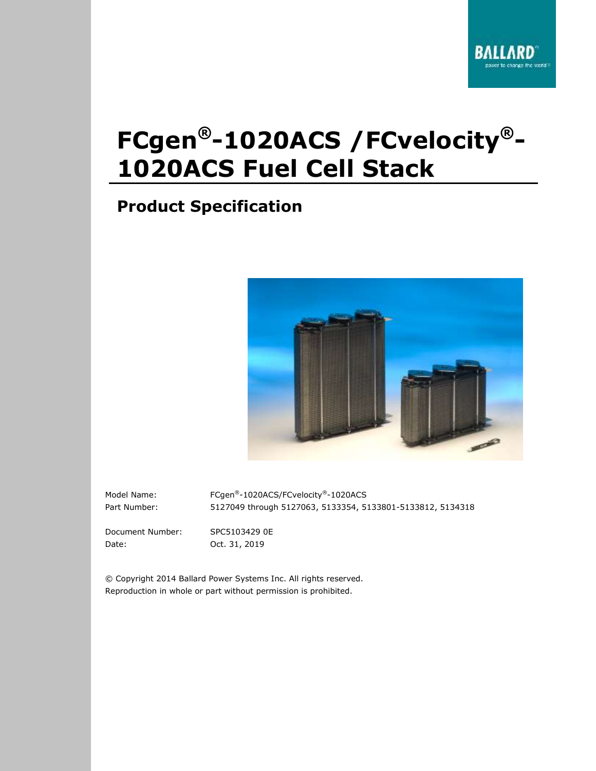# **FCgen®-1020ACS /FCvelocity®- 1020ACS Fuel Cell Stack**

## **Product Specification**



Model Name: FCgen®-1020ACS/FCvelocity®-1020ACS Part Number: 5127049 through 5127063, 5133354, 5133801-5133812, 5134318

Document Number: SPC5103429 0E Date: Oct. 31, 2019

© Copyright 2014 Ballard Power Systems Inc. All rights reserved. Reproduction in whole or part without permission is prohibited.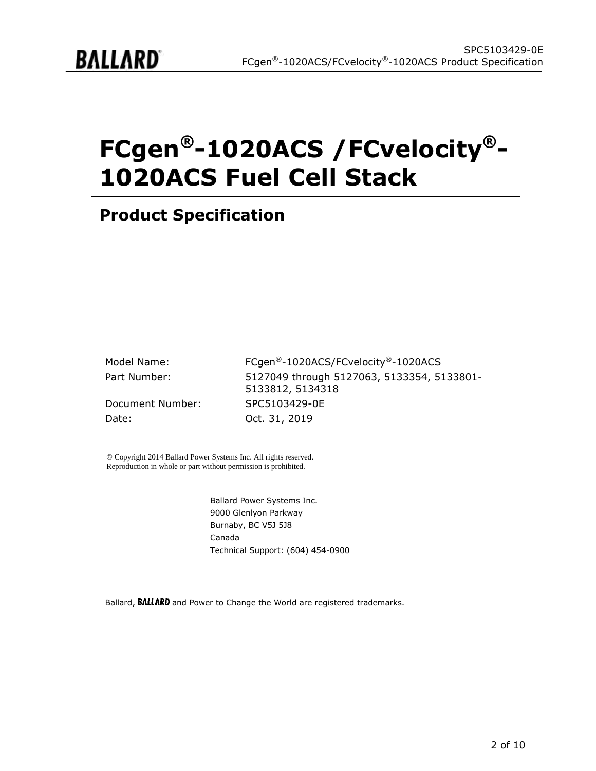

# **FCgen®-1020ACS /FCvelocity®- 1020ACS Fuel Cell Stack**

## **Product Specification**

| Model Name:      | FCgen®-1020ACS/FCvelocity®-1020ACS                             |
|------------------|----------------------------------------------------------------|
| Part Number:     | 5127049 through 5127063, 5133354, 5133801-<br>5133812, 5134318 |
| Document Number: | SPC5103429-0E                                                  |
| Date:            | Oct. 31, 2019                                                  |

© Copyright 2014 Ballard Power Systems Inc. All rights reserved. Reproduction in whole or part without permission is prohibited.

> Ballard Power Systems Inc. 9000 Glenlyon Parkway Burnaby, BC V5J 5J8 Canada Technical Support: (604) 454-0900

Ballard, **BALLARD** and Power to Change the World are registered trademarks.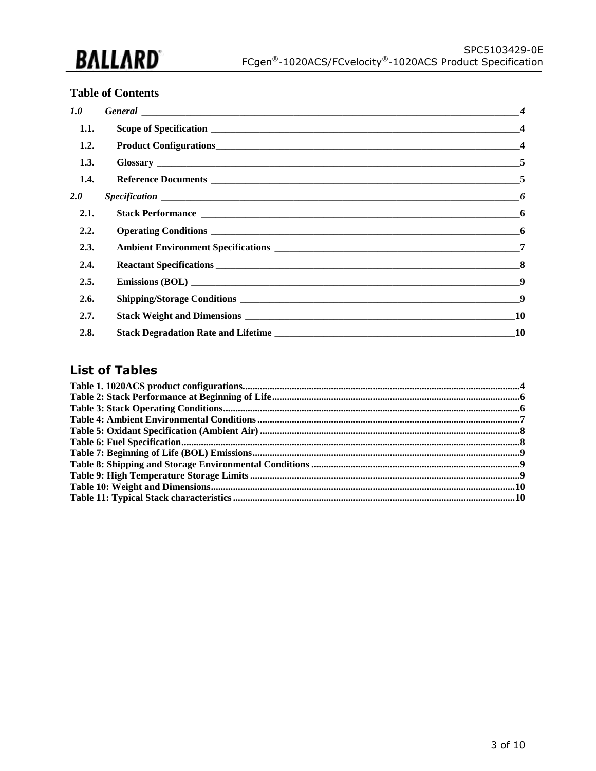

#### **Table of Contents**

| 1.0  | General expression of the contract of the contract of the contract of the contract of the contract of the contract of the contract of the contract of the contract of the contract of the contract of the contract of the cont | $\boldsymbol{\mathcal{A}}$ |
|------|--------------------------------------------------------------------------------------------------------------------------------------------------------------------------------------------------------------------------------|----------------------------|
| 1.1. |                                                                                                                                                                                                                                |                            |
| 1.2. |                                                                                                                                                                                                                                |                            |
| 1.3. |                                                                                                                                                                                                                                |                            |
| 1.4. |                                                                                                                                                                                                                                |                            |
| 2.0  |                                                                                                                                                                                                                                |                            |
| 2.1. |                                                                                                                                                                                                                                |                            |
| 2.2. |                                                                                                                                                                                                                                |                            |
| 2.3. |                                                                                                                                                                                                                                | -7                         |
| 2.4. |                                                                                                                                                                                                                                |                            |
| 2.5. |                                                                                                                                                                                                                                |                            |
| 2.6. |                                                                                                                                                                                                                                |                            |
| 2.7. |                                                                                                                                                                                                                                | 10                         |
| 2.8. |                                                                                                                                                                                                                                | 10                         |

#### **List of Tables**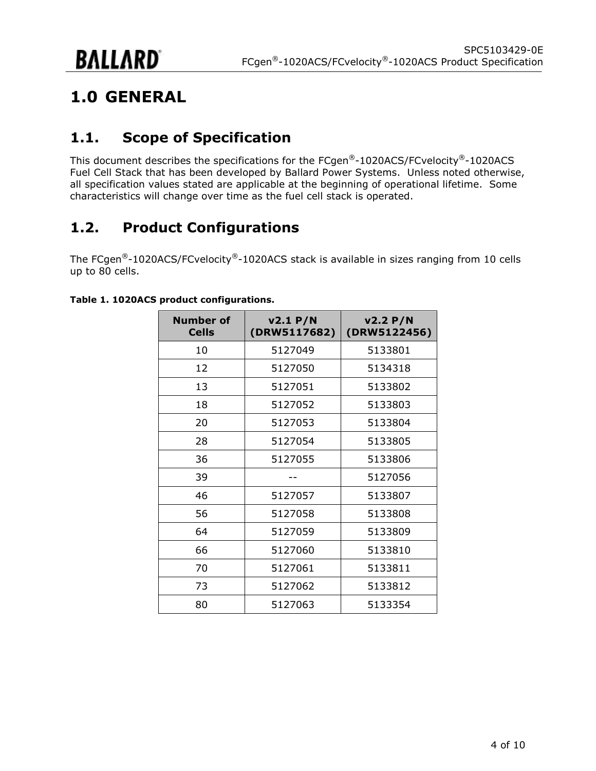# <span id="page-3-0"></span>**1.0 GENERAL**

## <span id="page-3-1"></span>**1.1. Scope of Specification**

This document describes the specifications for the FCgen®-1020ACS/FCvelocity®-1020ACS Fuel Cell Stack that has been developed by Ballard Power Systems. Unless noted otherwise, all specification values stated are applicable at the beginning of operational lifetime. Some characteristics will change over time as the fuel cell stack is operated.

## <span id="page-3-2"></span>**1.2. Product Configurations**

The FCgen<sup>®</sup>-1020ACS/FCvelocity<sup>®</sup>-1020ACS stack is available in sizes ranging from 10 cells up to 80 cells.

| <b>Number of</b><br><b>Cells</b> | v2.1 P/N<br>(DRW5117682) | v2.2 P/N<br>(DRW5122456) |
|----------------------------------|--------------------------|--------------------------|
| 10                               | 5127049                  | 5133801                  |
| 12                               | 5127050                  | 5134318                  |
| 13                               | 5127051                  | 5133802                  |
| 18                               | 5127052                  | 5133803                  |
| 20                               | 5127053                  | 5133804                  |
| 28                               | 5127054                  | 5133805                  |
| 36                               | 5127055                  | 5133806                  |
| 39                               |                          | 5127056                  |
| 46                               | 5127057                  | 5133807                  |
| 56                               | 5127058                  | 5133808                  |
| 64                               | 5127059                  | 5133809                  |
| 66                               | 5127060                  | 5133810                  |
| 70                               | 5127061                  | 5133811                  |
| 73                               | 5127062                  | 5133812                  |
| 80                               | 5127063                  | 5133354                  |

#### <span id="page-3-3"></span>**Table 1. 1020ACS product configurations.**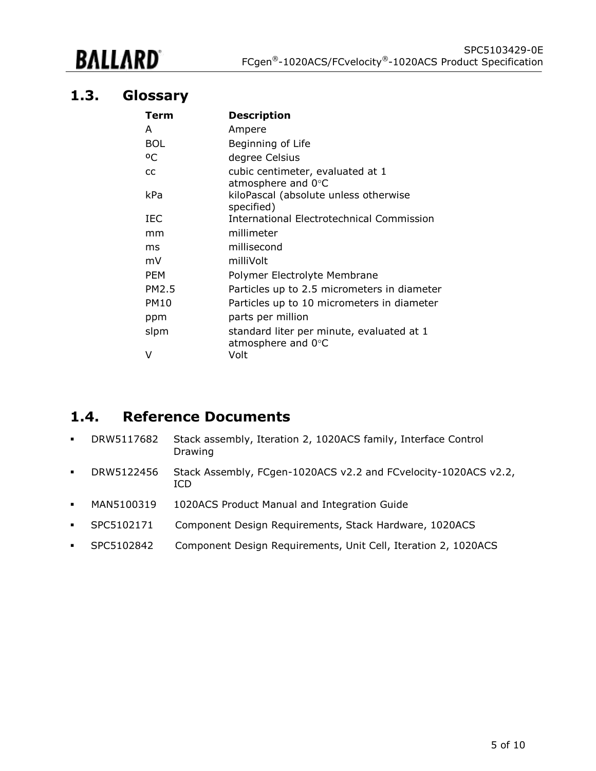# BALLARD

#### <span id="page-4-0"></span>**1.3. Glossary**

| Term        | <b>Description</b>                                              |
|-------------|-----------------------------------------------------------------|
| A           | Ampere                                                          |
| <b>BOL</b>  | Beginning of Life                                               |
| οC          | degree Celsius                                                  |
| CC          | cubic centimeter, evaluated at 1<br>atmosphere and 0°C          |
| kPa         | kiloPascal (absolute unless otherwise<br>specified)             |
| IEC         | International Electrotechnical Commission                       |
| mm          | millimeter                                                      |
| ms          | millisecond                                                     |
| mV          | milliVolt                                                       |
| <b>PEM</b>  | Polymer Electrolyte Membrane                                    |
| PM2.5       | Particles up to 2.5 micrometers in diameter                     |
| <b>PM10</b> | Particles up to 10 micrometers in diameter                      |
| ppm         | parts per million                                               |
| slpm        | standard liter per minute, evaluated at 1<br>atmosphere and 0°C |
| V           | Volt                                                            |

#### <span id="page-4-1"></span>**1.4. Reference Documents**

- DRW5117682 Stack assembly, Iteration 2, 1020ACS family, Interface Control Drawing
- DRW5122456 Stack Assembly, FCgen-1020ACS v2.2 and FCvelocity-1020ACS v2.2, ICD
- MAN5100319 1020ACS Product Manual and Integration Guide
- SPC5102171 Component Design Requirements, Stack Hardware, 1020ACS
- SPC5102842 Component Design Requirements, Unit Cell, Iteration 2, 1020ACS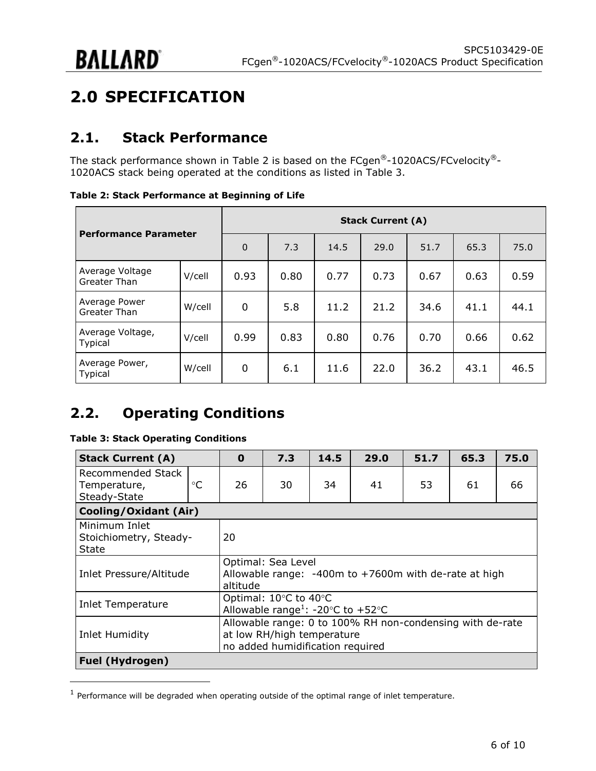# <span id="page-5-0"></span>**2.0 SPECIFICATION**

### <span id="page-5-1"></span>**2.1. Stack Performance**

The stack performance shown in [Table 2](#page-5-3) is based on the FCgen®-1020ACS/FCvelocity®-1020ACS stack being operated at the conditions as listed in [Table 3.](#page-5-4)

<span id="page-5-3"></span>**Table 2: Stack Performance at Beginning of Life**

| <b>Performance Parameter</b>       |        | <b>Stack Current (A)</b> |      |      |      |      |      |      |
|------------------------------------|--------|--------------------------|------|------|------|------|------|------|
|                                    |        | $\Omega$                 | 7.3  | 14.5 | 29.0 | 51.7 | 65.3 | 75.0 |
| Average Voltage<br>Greater Than    | V/cell | 0.93                     | 0.80 | 0.77 | 0.73 | 0.67 | 0.63 | 0.59 |
| Average Power<br>Greater Than      | W/cell | 0                        | 5.8  | 11.2 | 21.2 | 34.6 | 41.1 | 44.1 |
| Average Voltage,<br><b>Typical</b> | V/cell | 0.99                     | 0.83 | 0.80 | 0.76 | 0.70 | 0.66 | 0.62 |
| Average Power,<br><b>Typical</b>   | W/cell | 0                        | 6.1  | 11.6 | 22.0 | 36.2 | 43.1 | 46.5 |

## <span id="page-5-2"></span>**2.2. Operating Conditions**

#### <span id="page-5-4"></span>**Table 3: Stack Operating Conditions**

| <b>Stack Current (A)</b>                                                                                                                      |                 | $\mathbf 0$ | 7.3 | 14.5 | 29.0 | 51.7 | 65.3 | 75.0 |
|-----------------------------------------------------------------------------------------------------------------------------------------------|-----------------|-------------|-----|------|------|------|------|------|
| Recommended Stack<br>Temperature,<br>Steady-State                                                                                             | $\rm ^{\circ}C$ | 26          | 30  | 34   | 41   | 53   | 61   | 66   |
| <b>Cooling/Oxidant (Air)</b>                                                                                                                  |                 |             |     |      |      |      |      |      |
| Minimum Inlet<br>Stoichiometry, Steady-<br>State                                                                                              |                 | 20          |     |      |      |      |      |      |
| Optimal: Sea Level<br>Allowable range: -400m to +7600m with de-rate at high<br>Inlet Pressure/Altitude<br>altitude                            |                 |             |     |      |      |      |      |      |
| Optimal: 10°C to 40°C<br>Inlet Temperature<br>Allowable range <sup>1</sup> : -20°C to +52°C                                                   |                 |             |     |      |      |      |      |      |
| Allowable range: 0 to 100% RH non-condensing with de-rate<br>at low RH/high temperature<br>Inlet Humidity<br>no added humidification required |                 |             |     |      |      |      |      |      |
| <b>Fuel (Hydrogen)</b>                                                                                                                        |                 |             |     |      |      |      |      |      |

 $<sup>1</sup>$  Performance will be degraded when operating outside of the optimal range of inlet temperature.</sup>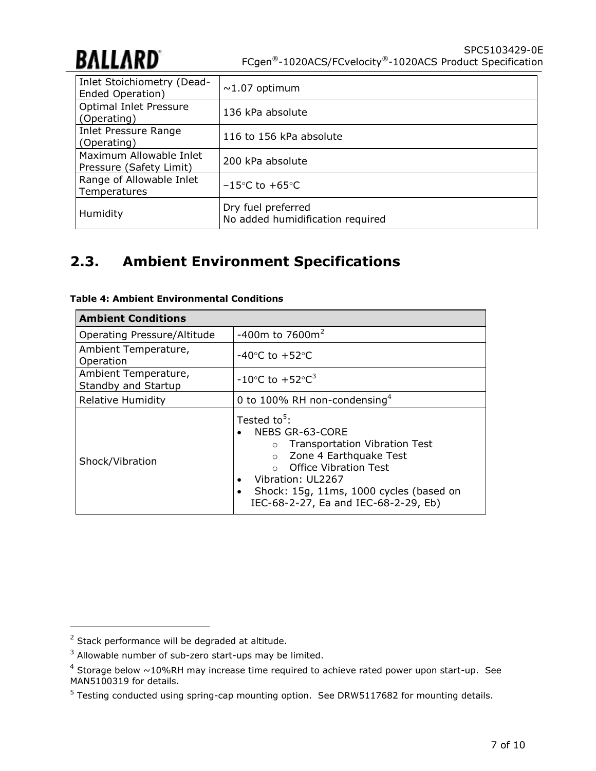

| Inlet Stoichiometry (Dead-<br>Ended Operation)     | $\sim$ 1.07 optimum                                    |
|----------------------------------------------------|--------------------------------------------------------|
| Optimal Inlet Pressure<br>(Operating)              | 136 kPa absolute                                       |
| Inlet Pressure Range<br>(Operating)                | 116 to 156 kPa absolute                                |
| Maximum Allowable Inlet<br>Pressure (Safety Limit) | 200 kPa absolute                                       |
| Range of Allowable Inlet<br>Temperatures           | $-15\degree$ C to $+65\degree$ C                       |
| Humidity                                           | Dry fuel preferred<br>No added humidification required |

## <span id="page-6-0"></span>**2.3. Ambient Environment Specifications**

| <b>Ambient Conditions</b>                   |                                                                                                                                                                                                                                                             |  |  |
|---------------------------------------------|-------------------------------------------------------------------------------------------------------------------------------------------------------------------------------------------------------------------------------------------------------------|--|--|
| Operating Pressure/Altitude                 | $-400$ m to 7600m <sup>2</sup>                                                                                                                                                                                                                              |  |  |
| Ambient Temperature,<br>Operation           | $-40^{\circ}$ C to $+52^{\circ}$ C                                                                                                                                                                                                                          |  |  |
| Ambient Temperature,<br>Standby and Startup | $-10^{\circ}$ C to $+52^{\circ}$ C <sup>3</sup>                                                                                                                                                                                                             |  |  |
| Relative Humidity                           | 0 to 100% RH non-condensing <sup>4</sup>                                                                                                                                                                                                                    |  |  |
| Shock/Vibration                             | Tested to <sup>5</sup> :<br>NEBS GR-63-CORE<br>o Transportation Vibration Test<br>Zone 4 Earthquake Test<br>$\circ$<br><b>Office Vibration Test</b><br>Vibration: UL2267<br>Shock: 15g, 11ms, 1000 cycles (based on<br>IEC-68-2-27, Ea and IEC-68-2-29, Eb) |  |  |

<span id="page-6-1"></span>

|  | Table 4: Ambient Environmental Conditions |  |
|--|-------------------------------------------|--|
|--|-------------------------------------------|--|

<sup>&</sup>lt;sup>2</sup> Stack performance will be degraded at altitude.

 $3$  Allowable number of sub-zero start-ups may be limited.

 $4$  Storage below  $\sim$ 10%RH may increase time required to achieve rated power upon start-up. See MAN5100319 for details.

<sup>&</sup>lt;sup>5</sup> Testing conducted using spring-cap mounting option. See DRW5117682 for mounting details.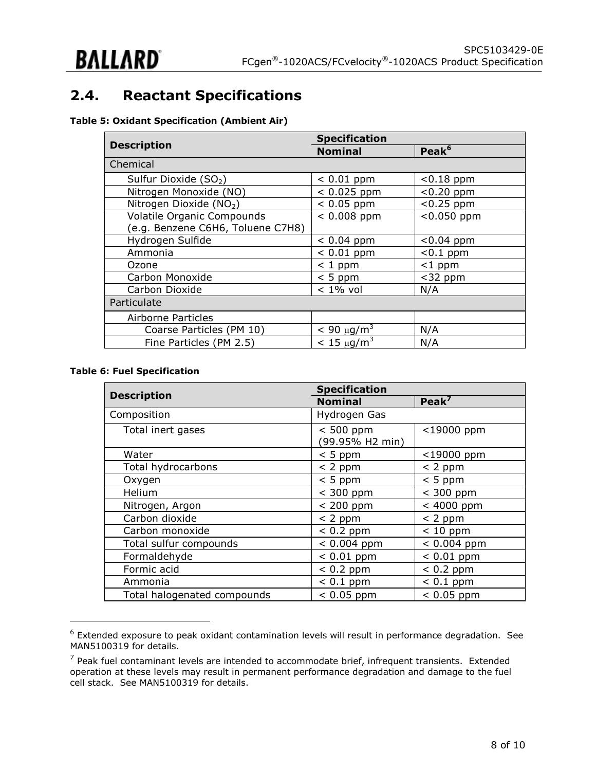## <span id="page-7-0"></span>**2.4. Reactant Specifications**

#### <span id="page-7-1"></span>**Table 5: Oxidant Specification (Ambient Air)**

|                                     | <b>Specification</b> |                   |  |  |
|-------------------------------------|----------------------|-------------------|--|--|
| <b>Description</b>                  | <b>Nominal</b>       | Peak <sup>6</sup> |  |  |
| Chemical                            |                      |                   |  |  |
| Sulfur Dioxide (SO <sub>2</sub> )   | $< 0.01$ ppm         | $< 0.18$ ppm      |  |  |
| Nitrogen Monoxide (NO)              | $< 0.025$ ppm        | $< 0.20$ ppm      |  |  |
| Nitrogen Dioxide (NO <sub>2</sub> ) | $< 0.05$ ppm         | $< 0.25$ ppm      |  |  |
| <b>Volatile Organic Compounds</b>   | $< 0.008$ ppm        | $< 0.050$ ppm     |  |  |
| (e.g. Benzene C6H6, Toluene C7H8)   |                      |                   |  |  |
| Hydrogen Sulfide                    | $< 0.04$ ppm         | $< 0.04$ ppm      |  |  |
| Ammonia                             | $< 0.01$ ppm         | $< 0.1$ ppm       |  |  |
| Ozone                               | $< 1$ ppm            | $<$ 1 ppm         |  |  |
| Carbon Monoxide                     | $< 5$ ppm            | $<$ 32 ppm        |  |  |
| Carbon Dioxide                      | $< 1\%$ vol          | N/A               |  |  |
| Particulate                         |                      |                   |  |  |
| Airborne Particles                  |                      |                   |  |  |
| Coarse Particles (PM 10)            | $< 90 \mu g/m^3$     | N/A               |  |  |
| Fine Particles (PM 2.5)             | $< 15 \mu q/m^3$     | N/A               |  |  |

#### <span id="page-7-2"></span>**Table 6: Fuel Specification**

|                             | <b>Specification</b>          |                   |  |  |
|-----------------------------|-------------------------------|-------------------|--|--|
| <b>Description</b>          | <b>Nominal</b>                | Peak <sup>7</sup> |  |  |
| Composition                 | Hydrogen Gas                  |                   |  |  |
| Total inert gases           | $< 500$ ppm<br>99.95% H2 min) | <19000 ppm        |  |  |
| Water                       | $< 5$ ppm                     | <19000 ppm        |  |  |
| Total hydrocarbons          | $< 2$ ppm                     | $< 2$ ppm         |  |  |
| Oxygen                      | $< 5$ ppm                     | $< 5$ ppm         |  |  |
| Helium                      | $<$ 300 ppm                   | $<$ 300 ppm       |  |  |
| Nitrogen, Argon             | $< 200$ ppm                   | $< 4000$ ppm      |  |  |
| Carbon dioxide              | $< 2$ ppm                     | $< 2$ ppm         |  |  |
| Carbon monoxide             | $< 0.2$ ppm                   | $< 10$ ppm        |  |  |
| Total sulfur compounds      | $< 0.004$ ppm                 | $< 0.004$ ppm     |  |  |
| Formaldehyde                | $< 0.01$ ppm                  | $< 0.01$ ppm      |  |  |
| Formic acid                 | $< 0.2$ ppm                   | $< 0.2$ ppm       |  |  |
| Ammonia                     | $< 0.1$ ppm                   | $< 0.1$ ppm       |  |  |
| Total halogenated compounds | $< 0.05$ ppm                  | $< 0.05$ ppm      |  |  |

 $^6$  Extended exposure to peak oxidant contamination levels will result in performance degradation. See MAN5100319 for details.

 $<sup>7</sup>$  Peak fuel contaminant levels are intended to accommodate brief, infrequent transients. Extended</sup> operation at these levels may result in permanent performance degradation and damage to the fuel cell stack. See MAN5100319 for details.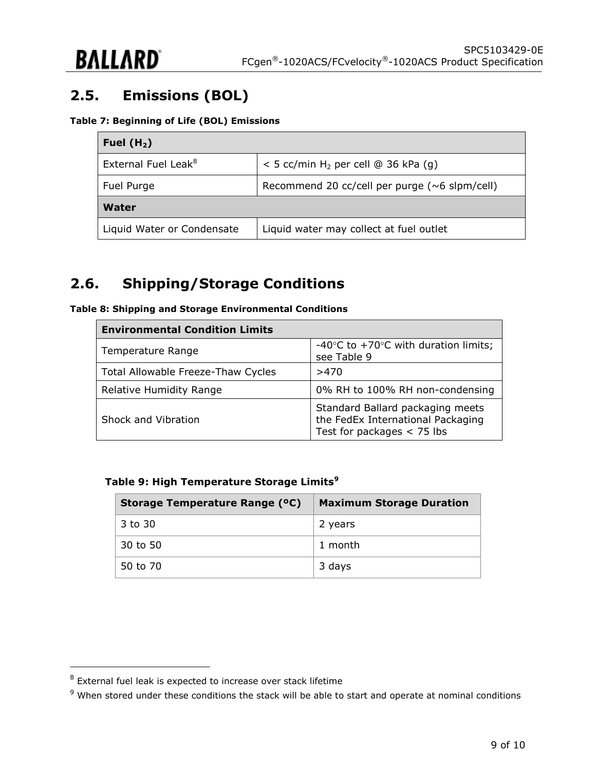

# <span id="page-8-0"></span>**2.5. Emissions (BOL)**

#### <span id="page-8-2"></span>**Table 7: Beginning of Life (BOL) Emissions**

| Fuel $(H2)$                     |                                                   |  |  |
|---------------------------------|---------------------------------------------------|--|--|
| External Fuel Leak <sup>8</sup> | $<$ 5 cc/min H <sub>2</sub> per cell @ 36 kPa (g) |  |  |
| Fuel Purge                      | Recommend 20 cc/cell per purge ( $~6$ slpm/cell)  |  |  |
| Water                           |                                                   |  |  |
| Liquid Water or Condensate      | Liquid water may collect at fuel outlet           |  |  |

### <span id="page-8-1"></span>**2.6. Shipping/Storage Conditions**

<span id="page-8-3"></span>

|  |  | Table 8: Shipping and Storage Environmental Conditions |  |
|--|--|--------------------------------------------------------|--|
|  |  |                                                        |  |

| <b>Environmental Condition Limits</b> |                                                                                                       |  |
|---------------------------------------|-------------------------------------------------------------------------------------------------------|--|
| Temperature Range                     | -40 $\degree$ C to +70 $\degree$ C with duration limits;<br>see Table 9                               |  |
| Total Allowable Freeze-Thaw Cycles    | >470                                                                                                  |  |
| <b>Relative Humidity Range</b>        | 0% RH to 100% RH non-condensing                                                                       |  |
| Shock and Vibration                   | Standard Ballard packaging meets<br>the FedEx International Packaging<br>Test for packages $<$ 75 lbs |  |

#### <span id="page-8-4"></span>**Table 9: High Temperature Storage Limits<sup>9</sup>**

| Storage Temperature Range (°C) | <b>Maximum Storage Duration</b> |
|--------------------------------|---------------------------------|
| 3 to 30                        | 2 years                         |
| 30 to 50                       | 1 month                         |
| 50 to 70                       | 3 days                          |

 $^8$  External fuel leak is expected to increase over stack lifetime

 $9$  When stored under these conditions the stack will be able to start and operate at nominal conditions